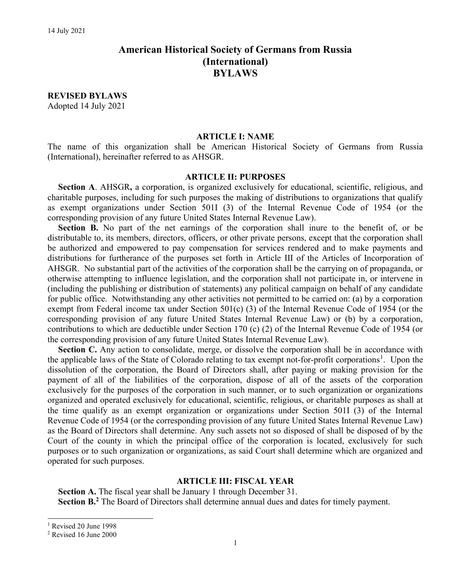# American Historical Society of Germans from Russia (International) BYLAWS

REVISED BYLAWS Adopted 14 July 2021

#### ARTICLE I: NAME

The name of this organization shall be American Historical Society of Germans from Russia (International), hereinafter referred to as AHSGR.

#### ARTICLE II: PURPOSES

Section A. AHSGR, a corporation, is organized exclusively for educational, scientific, religious, and charitable purposes, including for such purposes the making of distributions to organizations that qualify as exempt organizations under Section 501I (3) of the Internal Revenue Code of 1954 (or the corresponding provision of any future United States Internal Revenue Law).

Section B. No part of the net earnings of the corporation shall inure to the benefit of, or be distributable to, its members, directors, officers, or other private persons, except that the corporation shall be authorized and empowered to pay compensation for services rendered and to make payments and distributions for furtherance of the purposes set forth in Article III of the Articles of Incorporation of AHSGR. No substantial part of the activities of the corporation shall be the carrying on of propaganda, or otherwise attempting to influence legislation, and the corporation shall not participate in, or intervene in (including the publishing or distribution of statements) any political campaign on behalf of any candidate for public office. Notwithstanding any other activities not permitted to be carried on: (a) by a corporation exempt from Federal income tax under Section 501(c) (3) of the Internal Revenue Code of 1954 (or the corresponding provision of any future United States Internal Revenue Law) or (b) by a corporation, contributions to which are deductible under Section 170 (c) (2) of the Internal Revenue Code of 1954 (or the corresponding provision of any future United States Internal Revenue Law).

Section C. Any action to consolidate, merge, or dissolve the corporation shall be in accordance with the applicable laws of the State of Colorado relating to tax exempt not-for-profit corporations<sup>1</sup>. Upon the dissolution of the corporation, the Board of Directors shall, after paying or making provision for the payment of all of the liabilities of the corporation, dispose of all of the assets of the corporation exclusively for the purposes of the corporation in such manner, or to such organization or organizations organized and operated exclusively for educational, scientific, religious, or charitable purposes as shall at the time qualify as an exempt organization or organizations under Section 501I (3) of the Internal Revenue Code of 1954 (or the corresponding provision of any future United States Internal Revenue Law) as the Board of Directors shall determine. Any such assets not so disposed of shall be disposed of by the Court of the county in which the principal office of the corporation is located, exclusively for such purposes or to such organization or organizations, as said Court shall determine which are organized and operated for such purposes.

#### ARTICLE III: FISCAL YEAR

Section A. The fiscal year shall be January 1 through December 31. Section B.<sup>2</sup> The Board of Directors shall determine annual dues and dates for timely payment.

<sup>&</sup>lt;sup>1</sup> Revised 20 June 1998

<sup>2</sup> Revised 16 June 2000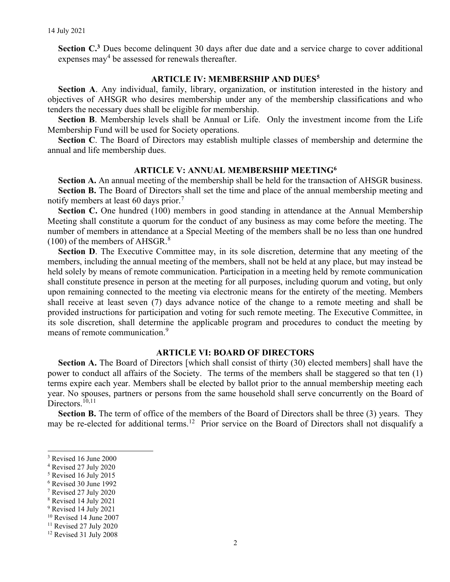Section C.<sup>3</sup> Dues become delinquent 30 days after due date and a service charge to cover additional expenses may<sup>4</sup> be assessed for renewals thereafter.

### ARTICLE IV: MEMBERSHIP AND DUES<sup>5</sup>

Section A. Any individual, family, library, organization, or institution interested in the history and objectives of AHSGR who desires membership under any of the membership classifications and who tenders the necessary dues shall be eligible for membership.

Section B. Membership levels shall be Annual or Life. Only the investment income from the Life Membership Fund will be used for Society operations.

Section C. The Board of Directors may establish multiple classes of membership and determine the annual and life membership dues.

### ARTICLE V: ANNUAL MEMBERSHIP MEETING<sup>6</sup>

Section A. An annual meeting of the membership shall be held for the transaction of AHSGR business. Section B. The Board of Directors shall set the time and place of the annual membership meeting and notify members at least 60 days prior.<sup>7</sup>

Section C. One hundred (100) members in good standing in attendance at the Annual Membership Meeting shall constitute a quorum for the conduct of any business as may come before the meeting. The number of members in attendance at a Special Meeting of the members shall be no less than one hundred  $(100)$  of the members of AHSGR.<sup>8</sup>

Section D. The Executive Committee may, in its sole discretion, determine that any meeting of the members, including the annual meeting of the members, shall not be held at any place, but may instead be held solely by means of remote communication. Participation in a meeting held by remote communication shall constitute presence in person at the meeting for all purposes, including quorum and voting, but only upon remaining connected to the meeting via electronic means for the entirety of the meeting. Members shall receive at least seven (7) days advance notice of the change to a remote meeting and shall be provided instructions for participation and voting for such remote meeting. The Executive Committee, in its sole discretion, shall determine the applicable program and procedures to conduct the meeting by means of remote communication.<sup>9</sup>

#### ARTICLE VI: BOARD OF DIRECTORS

Section A. The Board of Directors [which shall consist of thirty (30) elected members] shall have the power to conduct all affairs of the Society. The terms of the members shall be staggered so that ten (1) terms expire each year. Members shall be elected by ballot prior to the annual membership meeting each year. No spouses, partners or persons from the same household shall serve concurrently on the Board of Directors.<sup>10,11</sup>

Section B. The term of office of the members of the Board of Directors shall be three (3) years. They may be re-elected for additional terms.<sup>12</sup> Prior service on the Board of Directors shall not disqualify a

<sup>3</sup> Revised 16 June 2000

<sup>4</sup> Revised 27 July 2020

<sup>5</sup> Revised 16 July 2015

<sup>6</sup> Revised 30 June 1992

<sup>7</sup> Revised 27 July 2020

<sup>8</sup> Revised 14 July 2021

<sup>&</sup>lt;sup>9</sup> Revised 14 July 2021

<sup>10</sup> Revised 14 June 2007

<sup>&</sup>lt;sup>11</sup> Revised 27 July 2020

<sup>&</sup>lt;sup>12</sup> Revised 31 July 2008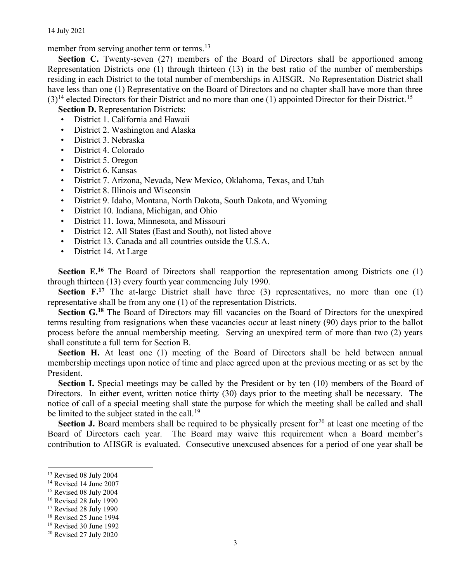14 July 2021

member from serving another term or terms.<sup>13</sup>

Section C. Twenty-seven (27) members of the Board of Directors shall be apportioned among Representation Districts one (1) through thirteen (13) in the best ratio of the number of memberships residing in each District to the total number of memberships in AHSGR. No Representation District shall have less than one (1) Representative on the Board of Directors and no chapter shall have more than three  $(3)^{14}$  elected Directors for their District and no more than one (1) appointed Director for their District.<sup>15</sup>

Section D. Representation Districts:

- District 1. California and Hawaii • District 2. Washington and Alaska
- District 3. Nebraska
- District 4. Colorado
- District 5. Oregon
- 
- District 6. Kansas
- District 7. Arizona, Nevada, New Mexico, Oklahoma, Texas, and Utah
- District 8. Illinois and Wisconsin
- District 9. Idaho, Montana, North Dakota, South Dakota, and Wyoming
- District 10. Indiana, Michigan, and Ohio
- District 11. Iowa, Minnesota, and Missouri
- District 12. All States (East and South), not listed above
- District 13. Canada and all countries outside the U.S.A.
- District 14. At Large

Section E.<sup>16</sup> The Board of Directors shall reapportion the representation among Districts one (1) through thirteen (13) every fourth year commencing July 1990.

Section  $F<sub>1</sub>$ <sup>17</sup> The at-large District shall have three (3) representatives, no more than one (1) representative shall be from any one (1) of the representation Districts.

Section G.<sup>18</sup> The Board of Directors may fill vacancies on the Board of Directors for the unexpired terms resulting from resignations when these vacancies occur at least ninety (90) days prior to the ballot process before the annual membership meeting. Serving an unexpired term of more than two (2) years shall constitute a full term for Section B.

Section H. At least one (1) meeting of the Board of Directors shall be held between annual membership meetings upon notice of time and place agreed upon at the previous meeting or as set by the President.

Section I. Special meetings may be called by the President or by ten (10) members of the Board of Directors. In either event, written notice thirty (30) days prior to the meeting shall be necessary. The notice of call of a special meeting shall state the purpose for which the meeting shall be called and shall be limited to the subject stated in the call.<sup>19</sup>

Section J. Board members shall be required to be physically present for<sup>20</sup> at least one meeting of the Board of Directors each year. The Board may waive this requirement when a Board member's contribution to AHSGR is evaluated. Consecutive unexcused absences for a period of one year shall be

<sup>14</sup> Revised 14 June 2007

<sup>&</sup>lt;sup>13</sup> Revised 08 July 2004

<sup>&</sup>lt;sup>15</sup> Revised 08 July 2004

<sup>16</sup> Revised 28 July 1990

<sup>&</sup>lt;sup>17</sup> Revised 28 July 1990

<sup>18</sup> Revised 25 June 1994

<sup>19</sup> Revised 30 June 1992

<sup>20</sup> Revised 27 July 2020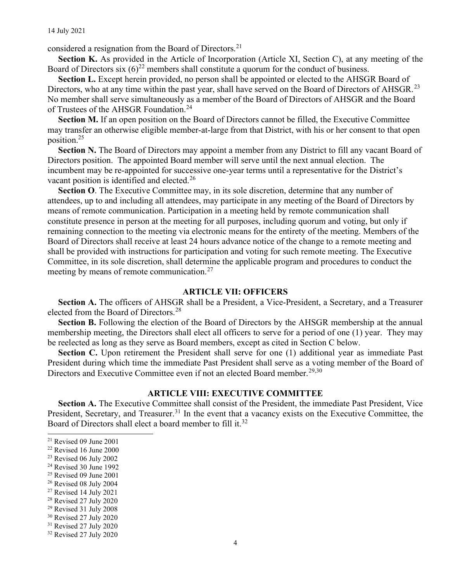considered a resignation from the Board of Directors.<sup>21</sup>

Section K. As provided in the Article of Incorporation (Article XI, Section C), at any meeting of the Board of Directors six  $(6)^{22}$  members shall constitute a quorum for the conduct of business.

Section L. Except herein provided, no person shall be appointed or elected to the AHSGR Board of Directors, who at any time within the past year, shall have served on the Board of Directors of AHSGR.<sup>23</sup> No member shall serve simultaneously as a member of the Board of Directors of AHSGR and the Board of Trustees of the AHSGR Foundation.<sup>24</sup>

Section M. If an open position on the Board of Directors cannot be filled, the Executive Committee may transfer an otherwise eligible member-at-large from that District, with his or her consent to that open position.<sup>25</sup>

Section N. The Board of Directors may appoint a member from any District to fill any vacant Board of Directors position. The appointed Board member will serve until the next annual election. The incumbent may be re-appointed for successive one-year terms until a representative for the District's vacant position is identified and elected.<sup>26</sup>

Section O. The Executive Committee may, in its sole discretion, determine that any number of attendees, up to and including all attendees, may participate in any meeting of the Board of Directors by means of remote communication. Participation in a meeting held by remote communication shall constitute presence in person at the meeting for all purposes, including quorum and voting, but only if remaining connection to the meeting via electronic means for the entirety of the meeting. Members of the Board of Directors shall receive at least 24 hours advance notice of the change to a remote meeting and shall be provided with instructions for participation and voting for such remote meeting. The Executive Committee, in its sole discretion, shall determine the applicable program and procedures to conduct the meeting by means of remote communication.<sup>27</sup>

### ARTICLE VII: OFFICERS

Section A. The officers of AHSGR shall be a President, a Vice-President, a Secretary, and a Treasurer elected from the Board of Directors.<sup>28</sup>

Section B. Following the election of the Board of Directors by the AHSGR membership at the annual membership meeting, the Directors shall elect all officers to serve for a period of one (1) year. They may be reelected as long as they serve as Board members, except as cited in Section C below.

Section C. Upon retirement the President shall serve for one (1) additional year as immediate Past President during which time the immediate Past President shall serve as a voting member of the Board of Directors and Executive Committee even if not an elected Board member.<sup>29,30</sup>

## ARTICLE VIII: EXECUTIVE COMMITTEE

Section A. The Executive Committee shall consist of the President, the immediate Past President, Vice President, Secretary, and Treasurer.<sup>31</sup> In the event that a vacancy exists on the Executive Committee, the Board of Directors shall elect a board member to fill it.<sup>32</sup>

- $25$  Revised 09 June 2001
- <sup>26</sup> Revised 08 July 2004
- <sup>27</sup> Revised 14 July 2021

- <sup>29</sup> Revised 31 July 2008
- <sup>30</sup> Revised 27 July 2020
- <sup>31</sup> Revised 27 July 2020

 $21$  Revised 09 June 2001

<sup>22</sup> Revised 16 June 2000

<sup>23</sup> Revised 06 July 2002

 $24$  Revised 30 June 1992

<sup>28</sup> Revised 27 July 2020

<sup>32</sup> Revised 27 July 2020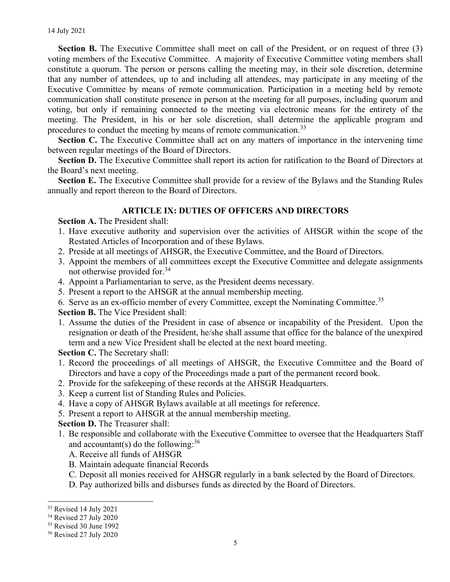Section B. The Executive Committee shall meet on call of the President, or on request of three (3) voting members of the Executive Committee. A majority of Executive Committee voting members shall constitute a quorum. The person or persons calling the meeting may, in their sole discretion, determine that any number of attendees, up to and including all attendees, may participate in any meeting of the Executive Committee by means of remote communication. Participation in a meeting held by remote communication shall constitute presence in person at the meeting for all purposes, including quorum and voting, but only if remaining connected to the meeting via electronic means for the entirety of the meeting. The President, in his or her sole discretion, shall determine the applicable program and procedures to conduct the meeting by means of remote communication.<sup>33</sup>

Section C. The Executive Committee shall act on any matters of importance in the intervening time between regular meetings of the Board of Directors.

Section D. The Executive Committee shall report its action for ratification to the Board of Directors at the Board's next meeting.

Section E. The Executive Committee shall provide for a review of the Bylaws and the Standing Rules annually and report thereon to the Board of Directors.

## ARTICLE IX: DUTIES OF OFFICERS AND DIRECTORS

Section A. The President shall:

- 1. Have executive authority and supervision over the activities of AHSGR within the scope of the Restated Articles of Incorporation and of these Bylaws.
- 2. Preside at all meetings of AHSGR, the Executive Committee, and the Board of Directors.
- 3. Appoint the members of all committees except the Executive Committee and delegate assignments not otherwise provided for.<sup>34</sup>
- 4. Appoint a Parliamentarian to serve, as the President deems necessary.
- 5. Present a report to the AHSGR at the annual membership meeting.
- 6. Serve as an ex-officio member of every Committee, except the Nominating Committee.<sup>35</sup>

Section B. The Vice President shall:

1. Assume the duties of the President in case of absence or incapability of the President. Upon the resignation or death of the President, he/she shall assume that office for the balance of the unexpired term and a new Vice President shall be elected at the next board meeting.

Section C. The Secretary shall:

- 1. Record the proceedings of all meetings of AHSGR, the Executive Committee and the Board of Directors and have a copy of the Proceedings made a part of the permanent record book.
- 2. Provide for the safekeeping of these records at the AHSGR Headquarters.
- 3. Keep a current list of Standing Rules and Policies.
- 4. Have a copy of AHSGR Bylaws available at all meetings for reference.
- 5. Present a report to AHSGR at the annual membership meeting.

Section D. The Treasurer shall:

- 1. Be responsible and collaborate with the Executive Committee to oversee that the Headquarters Staff and accountant(s) do the following:  $36$ 
	- A. Receive all funds of AHSGR
	- B. Maintain adequate financial Records
	- C. Deposit all monies received for AHSGR regularly in a bank selected by the Board of Directors.
	- D. Pay authorized bills and disburses funds as directed by the Board of Directors.

<sup>33</sup> Revised 14 July 2021

<sup>34</sup> Revised 27 July 2020

<sup>35</sup> Revised 30 June 1992

<sup>36</sup> Revised 27 July 2020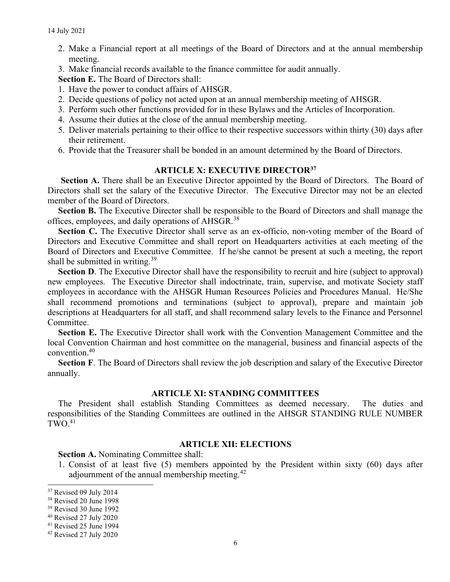- 2. Make a Financial report at all meetings of the Board of Directors and at the annual membership meeting.
- 3. Make financial records available to the finance committee for audit annually.

Section E. The Board of Directors shall:

- 1. Have the power to conduct affairs of AHSGR.
- 2. Decide questions of policy not acted upon at an annual membership meeting of AHSGR.
- 3. Perform such other functions provided for in these Bylaws and the Articles of Incorporation.
- 4. Assume their duties at the close of the annual membership meeting.
- 5. Deliver materials pertaining to their office to their respective successors within thirty (30) days after their retirement.
- 6. Provide that the Treasurer shall be bonded in an amount determined by the Board of Directors.

## ARTICLE X: EXECUTIVE DIRECTOR<sup>37</sup>

Section A. There shall be an Executive Director appointed by the Board of Directors. The Board of Directors shall set the salary of the Executive Director. The Executive Director may not be an elected member of the Board of Directors.

Section B. The Executive Director shall be responsible to the Board of Directors and shall manage the offices, employees, and daily operations of AHSGR.<sup>38</sup>

Section C. The Executive Director shall serve as an ex-officio, non-voting member of the Board of Directors and Executive Committee and shall report on Headquarters activities at each meeting of the Board of Directors and Executive Committee. If he/she cannot be present at such a meeting, the report shall be submitted in writing.<sup>39</sup>

Section D. The Executive Director shall have the responsibility to recruit and hire (subject to approval) new employees. The Executive Director shall indoctrinate, train, supervise, and motivate Society staff employees in accordance with the AHSGR Human Resources Policies and Procedures Manual. He/She shall recommend promotions and terminations (subject to approval), prepare and maintain job descriptions at Headquarters for all staff, and shall recommend salary levels to the Finance and Personnel Committee.

Section E. The Executive Director shall work with the Convention Management Committee and the local Convention Chairman and host committee on the managerial, business and financial aspects of the convention.<sup>40</sup>

Section F. The Board of Directors shall review the job description and salary of the Executive Director annually.

# ARTICLE XI: STANDING COMMITTEES

The President shall establish Standing Committees as deemed necessary. The duties and responsibilities of the Standing Committees are outlined in the AHSGR STANDING RULE NUMBER  $TWO<sup>41</sup>$ 

#### ARTICLE XII: ELECTIONS

Section A. Nominating Committee shall:

1. Consist of at least five (5) members appointed by the President within sixty (60) days after adjournment of the annual membership meeting.<sup>42</sup>

<sup>&</sup>lt;sup>37</sup> Revised 09 July 2014

<sup>38</sup> Revised 20 June 1998

<sup>39</sup> Revised 30 June 1992

<sup>40</sup> Revised 27 July 2020

<sup>41</sup> Revised 25 June 1994

<sup>42</sup> Revised 27 July 2020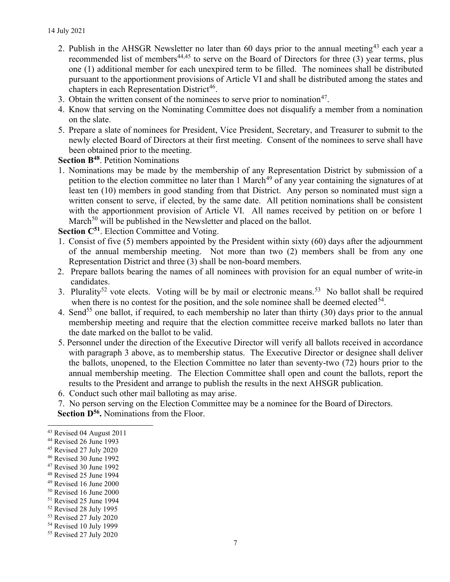- 2. Publish in the AHSGR Newsletter no later than 60 days prior to the annual meeting<sup>43</sup> each year a recommended list of members<sup>44,45</sup> to serve on the Board of Directors for three (3) year terms, plus one (1) additional member for each unexpired term to be filled. The nominees shall be distributed pursuant to the apportionment provisions of Article VI and shall be distributed among the states and chapters in each Representation District<sup>46</sup>.
- 3. Obtain the written consent of the nominees to serve prior to nomination<sup>47</sup>.
- 4. Know that serving on the Nominating Committee does not disqualify a member from a nomination on the slate.
- 5. Prepare a slate of nominees for President, Vice President, Secretary, and Treasurer to submit to the newly elected Board of Directors at their first meeting. Consent of the nominees to serve shall have been obtained prior to the meeting.

Section B<sup>48</sup>. Petition Nominations

1. Nominations may be made by the membership of any Representation District by submission of a petition to the election committee no later than 1 March<sup>49</sup> of any year containing the signatures of at least ten (10) members in good standing from that District. Any person so nominated must sign a written consent to serve, if elected, by the same date. All petition nominations shall be consistent with the apportionment provision of Article VI. All names received by petition on or before 1 March<sup>50</sup> will be published in the Newsletter and placed on the ballot.

Section C<sup>51</sup>. Election Committee and Voting.

- 1. Consist of five (5) members appointed by the President within sixty (60) days after the adjournment of the annual membership meeting. Not more than two (2) members shall be from any one Representation District and three (3) shall be non-board members.
- 2. Prepare ballots bearing the names of all nominees with provision for an equal number of write-in candidates.
- 3. Plurality<sup>52</sup> vote elects. Voting will be by mail or electronic means.<sup>53</sup> No ballot shall be required when there is no contest for the position, and the sole nominee shall be deemed elected<sup>54</sup>.
- 4. Send<sup>55</sup> one ballot, if required, to each membership no later than thirty (30) days prior to the annual membership meeting and require that the election committee receive marked ballots no later than the date marked on the ballot to be valid.
- 5. Personnel under the direction of the Executive Director will verify all ballots received in accordance with paragraph 3 above, as to membership status. The Executive Director or designee shall deliver the ballots, unopened, to the Election Committee no later than seventy-two (72) hours prior to the annual membership meeting. The Election Committee shall open and count the ballots, report the results to the President and arrange to publish the results in the next AHSGR publication.
- 6. Conduct such other mail balloting as may arise.
- 7. No person serving on the Election Committee may be a nominee for the Board of Directors.

Section D<sup>56</sup>. Nominations from the Floor.

- <sup>49</sup> Revised 16 June 2000
- <sup>50</sup> Revised 16 June 2000
- <sup>51</sup> Revised 25 June 1994
- <sup>52</sup> Revised 28 July 1995
- <sup>53</sup> Revised 27 July 2020

<sup>43</sup> Revised 04 August 2011

<sup>44</sup> Revised 26 June 1993

<sup>45</sup> Revised 27 July 2020

<sup>46</sup> Revised 30 June 1992

<sup>47</sup> Revised 30 June 1992

<sup>48</sup> Revised 25 June 1994

<sup>54</sup> Revised 10 July 1999

<sup>55</sup> Revised 27 July 2020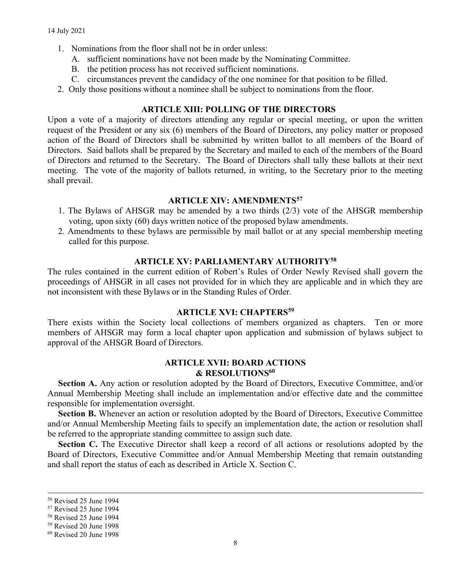- 1. Nominations from the floor shall not be in order unless:
	- A. sufficient nominations have not been made by the Nominating Committee.
	- B. the petition process has not received sufficient nominations.
	- C. circumstances prevent the candidacy of the one nominee for that position to be filled.
- 2. Only those positions without a nominee shall be subject to nominations from the floor.

## ARTICLE XIII: POLLING OF THE DIRECTORS

Upon a vote of a majority of directors attending any regular or special meeting, or upon the written request of the President or any six (6) members of the Board of Directors, any policy matter or proposed action of the Board of Directors shall be submitted by written ballot to all members of the Board of Directors. Said ballots shall be prepared by the Secretary and mailed to each of the members of the Board of Directors and returned to the Secretary. The Board of Directors shall tally these ballots at their next meeting. The vote of the majority of ballots returned, in writing, to the Secretary prior to the meeting shall prevail.

#### ARTICLE XIV: AMENDMENTS<sup>57</sup>

- 1. The Bylaws of AHSGR may be amended by a two thirds (2/3) vote of the AHSGR membership voting, upon sixty (60) days written notice of the proposed bylaw amendments.
- 2. Amendments to these bylaws are permissible by mail ballot or at any special membership meeting called for this purpose.

## ARTICLE XV: PARLIAMENTARY AUTHORITY<sup>58</sup>

The rules contained in the current edition of Robert's Rules of Order Newly Revised shall govern the proceedings of AHSGR in all cases not provided for in which they are applicable and in which they are not inconsistent with these Bylaws or in the Standing Rules of Order.

### ARTICLE XVI: CHAPTERS<sup>59</sup>

There exists within the Society local collections of members organized as chapters. Ten or more members of AHSGR may form a local chapter upon application and submission of bylaws subject to approval of the AHSGR Board of Directors.

### ARTICLE XVII: BOARD ACTIONS & RESOLUTIONS<sup>60</sup>

Section A. Any action or resolution adopted by the Board of Directors, Executive Committee, and/or Annual Membership Meeting shall include an implementation and/or effective date and the committee responsible for implementation oversight.

Section B. Whenever an action or resolution adopted by the Board of Directors, Executive Committee and/or Annual Membership Meeting fails to specify an implementation date, the action or resolution shall be referred to the appropriate standing committee to assign such date.

Section C. The Executive Director shall keep a record of all actions or resolutions adopted by the Board of Directors, Executive Committee and/or Annual Membership Meeting that remain outstanding and shall report the status of each as described in Article X. Section C.

<sup>56</sup> Revised 25 June 1994

<sup>57</sup> Revised 25 June 1994

<sup>58</sup> Revised 25 June 1994

<sup>59</sup> Revised 20 June 1998

<sup>60</sup> Revised 20 June 1998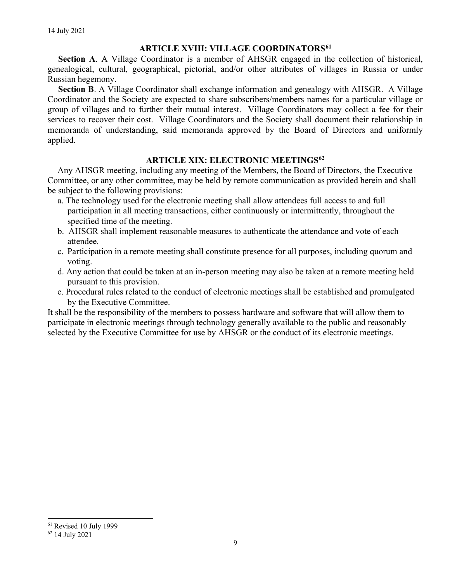# **ARTICLE XVIII: VILLAGE COORDINATORS<sup>61</sup>**

Section A. A Village Coordinator is a member of AHSGR engaged in the collection of historical, genealogical, cultural, geographical, pictorial, and/or other attributes of villages in Russia or under Russian hegemony.

Section B. A Village Coordinator shall exchange information and genealogy with AHSGR. A Village Coordinator and the Society are expected to share subscribers/members names for a particular village or group of villages and to further their mutual interest. Village Coordinators may collect a fee for their services to recover their cost. Village Coordinators and the Society shall document their relationship in memoranda of understanding, said memoranda approved by the Board of Directors and uniformly applied.

## ARTICLE XIX: ELECTRONIC MEETINGS<sup>62</sup>

Any AHSGR meeting, including any meeting of the Members, the Board of Directors, the Executive Committee, or any other committee, may be held by remote communication as provided herein and shall be subject to the following provisions:

- a. The technology used for the electronic meeting shall allow attendees full access to and full participation in all meeting transactions, either continuously or intermittently, throughout the specified time of the meeting.
- b. AHSGR shall implement reasonable measures to authenticate the attendance and vote of each attendee.
- c. Participation in a remote meeting shall constitute presence for all purposes, including quorum and voting.
- d. Any action that could be taken at an in-person meeting may also be taken at a remote meeting held pursuant to this provision.
- e. Procedural rules related to the conduct of electronic meetings shall be established and promulgated by the Executive Committee.

It shall be the responsibility of the members to possess hardware and software that will allow them to participate in electronic meetings through technology generally available to the public and reasonably selected by the Executive Committee for use by AHSGR or the conduct of its electronic meetings.

<sup>61</sup> Revised 10 July 1999

<sup>62</sup> 14 July 2021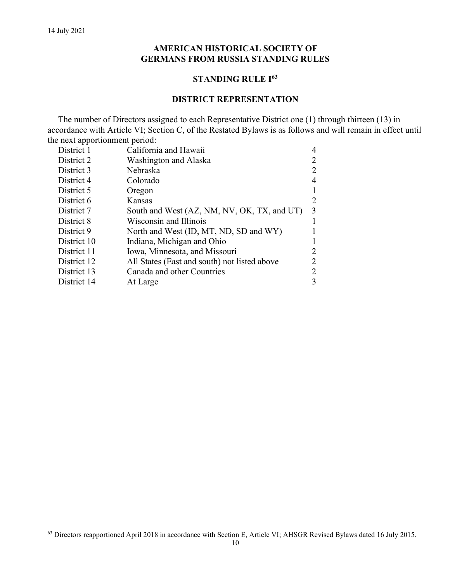# AMERICAN HISTORICAL SOCIETY OF GERMANS FROM RUSSIA STANDING RULES

## STANDING RULE I<sup>63</sup>

## DISTRICT REPRESENTATION

The number of Directors assigned to each Representative District one (1) through thirteen (13) in accordance with Article VI; Section C, of the Restated Bylaws is as follows and will remain in effect until the next apportionment period:

| District 1  | California and Hawaii                        |   |
|-------------|----------------------------------------------|---|
| District 2  | Washington and Alaska                        |   |
| District 3  | Nebraska                                     |   |
| District 4  | Colorado                                     |   |
| District 5  | Oregon                                       |   |
| District 6  | Kansas                                       |   |
| District 7  | South and West (AZ, NM, NV, OK, TX, and UT)  | 3 |
| District 8  | Wisconsin and Illinois                       |   |
| District 9  | North and West (ID, MT, ND, SD and WY)       |   |
| District 10 | Indiana, Michigan and Ohio                   |   |
| District 11 | Iowa, Minnesota, and Missouri                |   |
| District 12 | All States (East and south) not listed above |   |
| District 13 | Canada and other Countries                   |   |
| District 14 | At Large                                     | 3 |
|             |                                              |   |

<sup>&</sup>lt;sup>63</sup> Directors reapportioned April 2018 in accordance with Section E, Article VI; AHSGR Revised Bylaws dated 16 July 2015.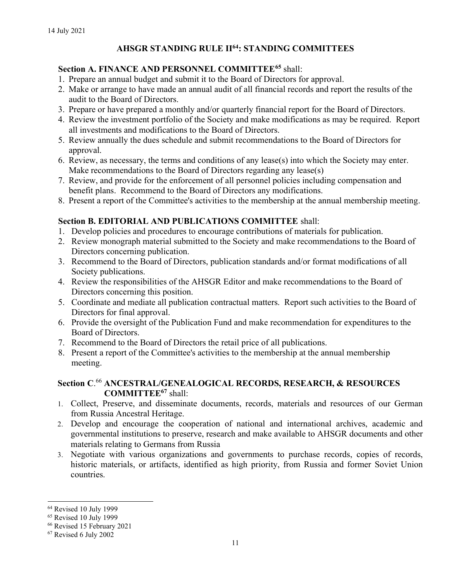# AHSGR STANDING RULE II<sup>64</sup>: STANDING COMMITTEES

# Section A. FINANCE AND PERSONNEL COMMITTEE<sup>65</sup> shall:

- 1. Prepare an annual budget and submit it to the Board of Directors for approval.
- 2. Make or arrange to have made an annual audit of all financial records and report the results of the audit to the Board of Directors.
- 3. Prepare or have prepared a monthly and/or quarterly financial report for the Board of Directors.
- 4. Review the investment portfolio of the Society and make modifications as may be required. Report all investments and modifications to the Board of Directors.
- 5. Review annually the dues schedule and submit recommendations to the Board of Directors for approval.
- 6. Review, as necessary, the terms and conditions of any lease(s) into which the Society may enter. Make recommendations to the Board of Directors regarding any lease(s)
- 7. Review, and provide for the enforcement of all personnel policies including compensation and benefit plans. Recommend to the Board of Directors any modifications.
- 8. Present a report of the Committee's activities to the membership at the annual membership meeting.

# Section B. EDITORIAL AND PUBLICATIONS COMMITTEE shall:

- 1. Develop policies and procedures to encourage contributions of materials for publication.
- 2. Review monograph material submitted to the Society and make recommendations to the Board of Directors concerning publication.
- 3. Recommend to the Board of Directors, publication standards and/or format modifications of all Society publications.
- 4. Review the responsibilities of the AHSGR Editor and make recommendations to the Board of Directors concerning this position.
- 5. Coordinate and mediate all publication contractual matters. Report such activities to the Board of Directors for final approval.
- 6. Provide the oversight of the Publication Fund and make recommendation for expenditures to the Board of Directors.
- 7. Recommend to the Board of Directors the retail price of all publications.
- 8. Present a report of the Committee's activities to the membership at the annual membership meeting.

# Section C. <sup>66</sup> ANCESTRAL/GENEALOGICAL RECORDS, RESEARCH, & RESOURCES COMMITTEE<sup>67</sup> shall:

- 1. Collect, Preserve, and disseminate documents, records, materials and resources of our German from Russia Ancestral Heritage.
- 2. Develop and encourage the cooperation of national and international archives, academic and governmental institutions to preserve, research and make available to AHSGR documents and other materials relating to Germans from Russia
- 3. Negotiate with various organizations and governments to purchase records, copies of records, historic materials, or artifacts, identified as high priority, from Russia and former Soviet Union countries.

<sup>64</sup> Revised 10 July 1999

<sup>65</sup> Revised 10 July 1999

<sup>66</sup> Revised 15 February 2021

<sup>67</sup> Revised 6 July 2002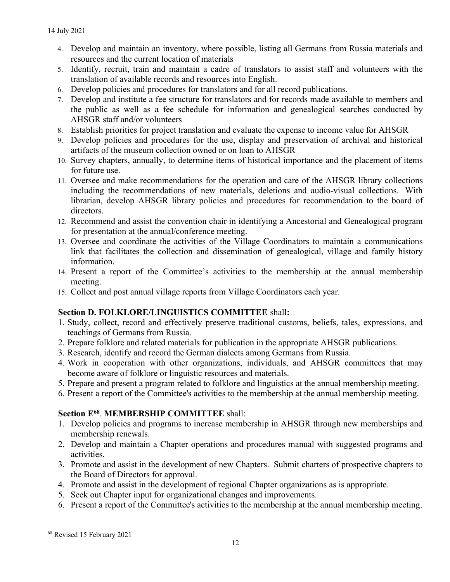- 4. Develop and maintain an inventory, where possible, listing all Germans from Russia materials and resources and the current location of materials
- 5. Identify, recruit, train and maintain a cadre of translators to assist staff and volunteers with the translation of available records and resources into English.
- 6. Develop policies and procedures for translators and for all record publications.
- 7. Develop and institute a fee structure for translators and for records made available to members and the public as well as a fee schedule for information and genealogical searches conducted by AHSGR staff and/or volunteers
- 8. Establish priorities for project translation and evaluate the expense to income value for AHSGR
- 9. Develop policies and procedures for the use, display and preservation of archival and historical artifacts of the museum collection owned or on loan to AHSGR
- 10. Survey chapters, annually, to determine items of historical importance and the placement of items for future use.
- 11. Oversee and make recommendations for the operation and care of the AHSGR library collections including the recommendations of new materials, deletions and audio-visual collections. With librarian, develop AHSGR library policies and procedures for recommendation to the board of directors.
- 12. Recommend and assist the convention chair in identifying a Ancestorial and Genealogical program for presentation at the annual/conference meeting.
- 13. Oversee and coordinate the activities of the Village Coordinators to maintain a communications link that facilitates the collection and dissemination of genealogical, village and family history information.
- 14. Present a report of the Committee's activities to the membership at the annual membership meeting.
- 15. Collect and post annual village reports from Village Coordinators each year.

# Section D. FOLKLORE/LINGUISTICS COMMITTEE shall:

- 1. Study, collect, record and effectively preserve traditional customs, beliefs, tales, expressions, and teachings of Germans from Russia.
- 2. Prepare folklore and related materials for publication in the appropriate AHSGR publications.
- 3. Research, identify and record the German dialects among Germans from Russia.
- 4. Work in cooperation with other organizations, individuals, and AHSGR committees that may become aware of folklore or linguistic resources and materials.
- 5. Prepare and present a program related to folklore and linguistics at the annual membership meeting.
- 6. Present a report of the Committee's activities to the membership at the annual membership meeting.

# Section E<sup>68</sup>. MEMBERSHIP COMMITTEE shall:

- 1. Develop policies and programs to increase membership in AHSGR through new memberships and membership renewals.
- 2. Develop and maintain a Chapter operations and procedures manual with suggested programs and activities.
- 3. Promote and assist in the development of new Chapters. Submit charters of prospective chapters to the Board of Directors for approval.
- 4. Promote and assist in the development of regional Chapter organizations as is appropriate.
- 5. Seek out Chapter input for organizational changes and improvements.
- 6. Present a report of the Committee's activities to the membership at the annual membership meeting.

<sup>68</sup> Revised 15 February 2021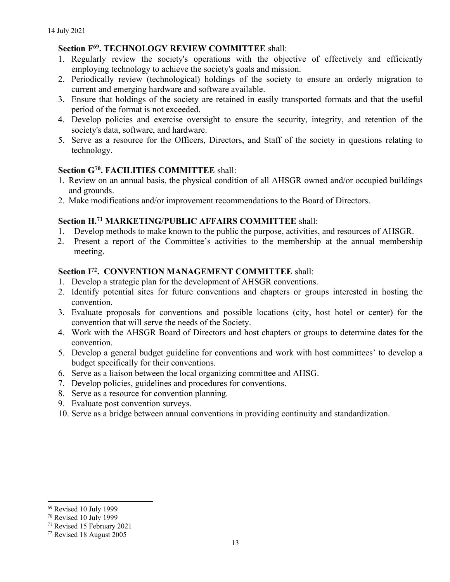# Section F<sup>69</sup>. TECHNOLOGY REVIEW COMMITTEE shall:

- 1. Regularly review the society's operations with the objective of effectively and efficiently employing technology to achieve the society's goals and mission.
- 2. Periodically review (technological) holdings of the society to ensure an orderly migration to current and emerging hardware and software available.
- 3. Ensure that holdings of the society are retained in easily transported formats and that the useful period of the format is not exceeded.
- 4. Develop policies and exercise oversight to ensure the security, integrity, and retention of the society's data, software, and hardware.
- 5. Serve as a resource for the Officers, Directors, and Staff of the society in questions relating to technology.

# Section G<sup>70</sup>. FACILITIES COMMITTEE shall:

- 1. Review on an annual basis, the physical condition of all AHSGR owned and/or occupied buildings and grounds.
- 2. Make modifications and/or improvement recommendations to the Board of Directors.

# Section H.<sup>71</sup> MARKETING/PUBLIC AFFAIRS COMMITTEE shall:

- 1. Develop methods to make known to the public the purpose, activities, and resources of AHSGR.
- 2. Present a report of the Committee's activities to the membership at the annual membership meeting.

# Section I<sup>72</sup>. CONVENTION MANAGEMENT COMMITTEE shall:

- 1. Develop a strategic plan for the development of AHSGR conventions.
- 2. Identify potential sites for future conventions and chapters or groups interested in hosting the convention.
- 3. Evaluate proposals for conventions and possible locations (city, host hotel or center) for the convention that will serve the needs of the Society.
- 4. Work with the AHSGR Board of Directors and host chapters or groups to determine dates for the convention.
- 5. Develop a general budget guideline for conventions and work with host committees' to develop a budget specifically for their conventions.
- 6. Serve as a liaison between the local organizing committee and AHSG.
- 7. Develop policies, guidelines and procedures for conventions.
- 8. Serve as a resource for convention planning.
- 9. Evaluate post convention surveys.
- 10. Serve as a bridge between annual conventions in providing continuity and standardization.

<sup>69</sup> Revised 10 July 1999

<sup>70</sup> Revised 10 July 1999

<sup>71</sup> Revised 15 February 2021

<sup>72</sup> Revised 18 August 2005